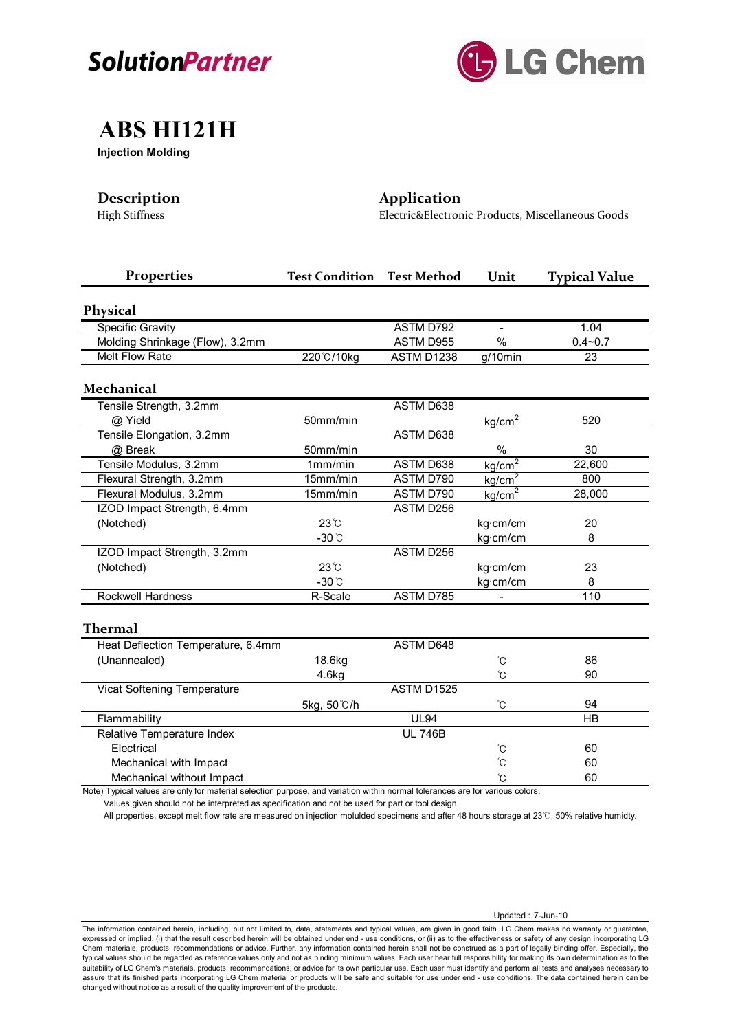



## **ABS HI121H**

**Injection Molding**

## **Description Application**

High Stiffness Electric&Electronic Products, Miscellaneous Goods

| <b>Properties</b>                  | <b>Test Condition</b> | <b>Test Method</b> | Unit                 | <b>Typical Value</b> |
|------------------------------------|-----------------------|--------------------|----------------------|----------------------|
| <b>Physical</b>                    |                       |                    |                      |                      |
| <b>Specific Gravity</b>            |                       | <b>ASTM D792</b>   |                      | 1.04                 |
| Molding Shrinkage (Flow), 3.2mm    |                       | ASTM D955          | $\frac{1}{2}$        | $0.4 - 0.7$          |
| Melt Flow Rate                     | 220°C/10kg            | ASTM D1238         | g/10min              | 23                   |
| <b>Mechanical</b>                  |                       |                    |                      |                      |
| Tensile Strength, 3.2mm            |                       | ASTM D638          |                      |                      |
| @ Yield                            | 50mm/min              |                    | kg/cm <sup>2</sup>   | 520                  |
| Tensile Elongation, 3.2mm          |                       | ASTM D638          |                      |                      |
| @ Break                            | 50mm/min              |                    | $\%$                 | 30                   |
| Tensile Modulus, 3.2mm             | 1mm/min               | <b>ASTM D638</b>   | kg/cm <sup>2</sup>   | 22,600               |
| Flexural Strength, 3.2mm           | 15mm/min              | ASTM D790          | kg/cm <sup>2</sup>   | 800                  |
| Flexural Modulus, 3.2mm            | 15mm/min              | ASTM D790          | kg/cm <sup>2</sup>   | 28,000               |
| IZOD Impact Strength, 6.4mm        |                       | ASTM D256          |                      |                      |
| (Notched)                          | 23°C                  |                    | kg·cm/cm             | 20                   |
|                                    | $-30^{\circ}$ C       |                    | kg·cm/cm             | 8                    |
| IZOD Impact Strength, 3.2mm        |                       | ASTM D256          |                      |                      |
| (Notched)                          | $23^\circ$ C          |                    | kg·cm/cm             | 23                   |
|                                    | $-30^{\circ}$ C       |                    | kg·cm/cm             | 8                    |
| <b>Rockwell Hardness</b>           | R-Scale               | ASTM D785          |                      | 110                  |
| <b>Thermal</b>                     |                       |                    |                      |                      |
| Heat Deflection Temperature, 6.4mm |                       | ASTM D648          |                      |                      |
| (Unannealed)                       | 18.6kg                |                    | $^\circ \! \text{C}$ | 86                   |
|                                    | 4.6kg                 |                    | °C                   | 90                   |
| Vicat Softening Temperature        |                       | ASTM D1525         |                      |                      |
|                                    | 5kg, 50°C/h           |                    | °C                   | 94                   |
| Flammability                       |                       | <b>UL94</b>        |                      | <b>HB</b>            |
| Relative Temperature Index         |                       | <b>UL 746B</b>     |                      |                      |
| Electrical                         |                       |                    | Ů                    | 60                   |
| Mechanical with Impact             |                       |                    | ຽ                    | 60                   |
| Mechanical without Impact          |                       |                    | Ů                    | 60                   |

Note) Typical values are only for material selection purpose, and variation within normal tolerances are for various colors.

Values given should not be interpreted as specification and not be used for part or tool design.

All properties, except melt flow rate are measured on injection molulded specimens and after 48 hours storage at 23℃, 50% relative humidty.

The information contained herein, including, but not limited to, data, statements and typical values, are given in good faith. LG Chem makes no warranty or guarantee, expressed or implied, (i) that the result described herein will be obtained under end - use conditions, or (ii) as to the effectiveness or safety of any design incorporating LG Chem materials, products, recommendations or advice. Further, any information contained herein shall not be construed as a part of legally binding offer. Especially, the typical values should be regarded as reference values only and not as binding minimum values. Each user bear full responsibility for making its own determination as to the suitability of LG Chem's materials, products, recommendations, or advice for its own particular use. Each user must identify and perform all tests and analyses necessary to assure that its finished parts incorporating LG Chem material or products will be safe and suitable for use under end - use conditions. The data contained herein can be<br>changed without notice as a result of the quality imp

### Updated : 7-Jun-10